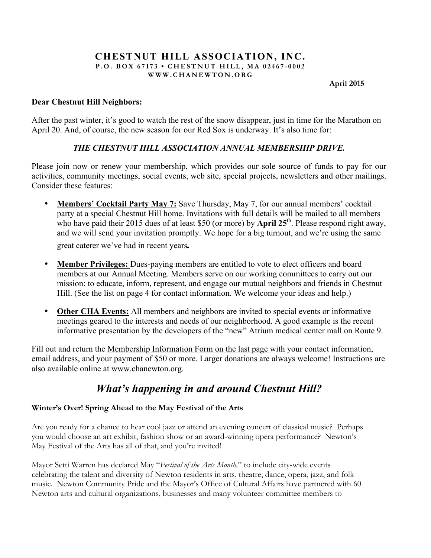#### **CHESTNUT HILL ASSOCIATION, INC. P.O. BOX 67173 • CHESTNUT HILL, MA 02467 - 0002 WWW.CHANEWTON.ORG**

**April 2015**

#### **Dear Chestnut Hill Neighbors:**

After the past winter, it's good to watch the rest of the snow disappear, just in time for the Marathon on April 20. And, of course, the new season for our Red Sox is underway. It's also time for:

## *THE CHESTNUT HILL ASSOCIATION ANNUAL MEMBERSHIP DRIVE.*

Please join now or renew your membership, which provides our sole source of funds to pay for our activities, community meetings, social events, web site, special projects, newsletters and other mailings. Consider these features:

- **Members' Cocktail Party May 7:** Save Thursday, May 7, for our annual members' cocktail party at a special Chestnut Hill home. Invitations with full details will be mailed to all members who have paid their 2015 dues of at least \$50 (or more) by **April 25<sup>th</sup>**. Please respond right away, and we will send your invitation promptly. We hope for a big turnout, and we're using the same great caterer we've had in recent years*.*
- **Member Privileges:** Dues-paying members are entitled to vote to elect officers and board members at our Annual Meeting. Members serve on our working committees to carry out our mission: to educate, inform, represent, and engage our mutual neighbors and friends in Chestnut Hill. (See the list on page 4 for contact information. We welcome your ideas and help.)
- **Other CHA Events:** All members and neighbors are invited to special events or informative meetings geared to the interests and needs of our neighborhood. A good example is the recent informative presentation by the developers of the "new" Atrium medical center mall on Route 9.

Fill out and return the Membership Information Form on the last page with your contact information, email address, and your payment of \$50 or more. Larger donations are always welcome! Instructions are also available online at www.chanewton.org.

# *What's happening in and around Chestnut Hill?*

## **Winter's Over! Spring Ahead to the May Festival of the Arts**

Are you ready for a chance to hear cool jazz or attend an evening concert of classical music? Perhaps you would choose an art exhibit, fashion show or an award-winning opera performance? Newton's May Festival of the Arts has all of that, and you're invited!

Mayor Setti Warren has declared May "*Festival of the Arts Month,*" to include city-wide events celebrating the talent and diversity of Newton residents in arts, theatre, dance, opera, jazz, and folk music. Newton Community Pride and the Mayor's Office of Cultural Affairs have partnered with 60 Newton arts and cultural organizations, businesses and many volunteer committee members to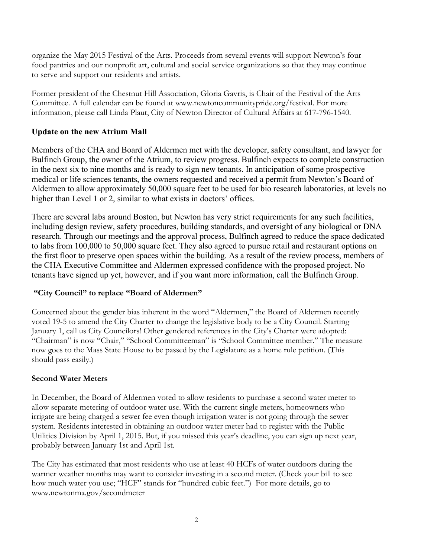organize the May 2015 Festival of the Arts. Proceeds from several events will support Newton's four food pantries and our nonprofit art, cultural and social service organizations so that they may continue to serve and support our residents and artists.

Former president of the Chestnut Hill Association, Gloria Gavris, is Chair of the Festival of the Arts Committee. A full calendar can be found at www.newtoncommunitypride.org/festival. For more information, please call Linda Plaut, City of Newton Director of Cultural Affairs at 617-796-1540.

## **Update on the new Atrium Mall**

Members of the CHA and Board of Aldermen met with the developer, safety consultant, and lawyer for Bulfinch Group, the owner of the Atrium, to review progress. Bulfinch expects to complete construction in the next six to nine months and is ready to sign new tenants. In anticipation of some prospective medical or life sciences tenants, the owners requested and received a permit from Newton's Board of Aldermen to allow approximately 50,000 square feet to be used for bio research laboratories, at levels no higher than Level 1 or 2, similar to what exists in doctors' offices.

There are several labs around Boston, but Newton has very strict requirements for any such facilities, including design review, safety procedures, building standards, and oversight of any biological or DNA research. Through our meetings and the approval process, Bulfinch agreed to reduce the space dedicated to labs from 100,000 to 50,000 square feet. They also agreed to pursue retail and restaurant options on the first floor to preserve open spaces within the building. As a result of the review process, members of the CHA Executive Committee and Aldermen expressed confidence with the proposed project. No tenants have signed up yet, however, and if you want more information, call the Bulfinch Group.

## **"City Council" to replace "Board of Aldermen"**

Concerned about the gender bias inherent in the word "Aldermen," the Board of Aldermen recently voted 19-5 to amend the City Charter to change the legislative body to be a City Council. Starting January 1, call us City Councilors! Other gendered references in the City's Charter were adopted: "Chairman" is now "Chair," "School Committeeman" is "School Committee member." The measure now goes to the Mass State House to be passed by the Legislature as a home rule petition. (This should pass easily.)

## **Second Water Meters**

In December, the Board of Aldermen voted to allow residents to purchase a second water meter to allow separate metering of outdoor water use. With the current single meters, homeowners who irrigate are being charged a sewer fee even though irrigation water is not going through the sewer system. Residents interested in obtaining an outdoor water meter had to register with the Public Utilities Division by April 1, 2015. But, if you missed this year's deadline, you can sign up next year, probably between January 1st and April 1st.

The City has estimated that most residents who use at least 40 HCFs of water outdoors during the warmer weather months may want to consider investing in a second meter. (Check your bill to see how much water you use; "HCF" stands for "hundred cubic feet.") For more details, go to www.newtonma.gov/secondmeter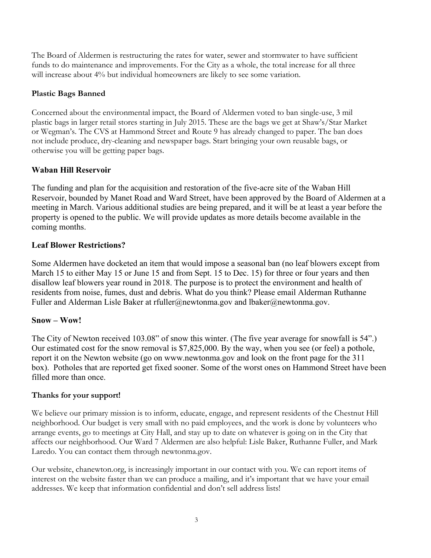The Board of Aldermen is restructuring the rates for water, sewer and stormwater to have sufficient funds to do maintenance and improvements. For the City as a whole, the total increase for all three will increase about 4% but individual homeowners are likely to see some variation.

## **Plastic Bags Banned**

Concerned about the environmental impact, the Board of Aldermen voted to ban single-use, 3 mil plastic bags in larger retail stores starting in July 2015. These are the bags we get at Shaw's/Star Market or Wegman's. The CVS at Hammond Street and Route 9 has already changed to paper. The ban does not include produce, dry-cleaning and newspaper bags. Start bringing your own reusable bags, or otherwise you will be getting paper bags.

## **Waban Hill Reservoir**

The funding and plan for the acquisition and restoration of the five-acre site of the Waban Hill Reservoir, bounded by Manet Road and Ward Street, have been approved by the Board of Aldermen at a meeting in March. Various additional studies are being prepared, and it will be at least a year before the property is opened to the public. We will provide updates as more details become available in the coming months.

# **Leaf Blower Restrictions?**

Some Aldermen have docketed an item that would impose a seasonal ban (no leaf blowers except from March 15 to either May 15 or June 15 and from Sept. 15 to Dec. 15) for three or four years and then disallow leaf blowers year round in 2018. The purpose is to protect the environment and health of residents from noise, fumes, dust and debris. What do you think? Please email Alderman Ruthanne Fuller and Alderman Lisle Baker at rfuller@newtonma.gov and lbaker@newtonma.gov.

## **Snow – Wow!**

The City of Newton received 103.08" of snow this winter. (The five year average for snowfall is 54".) Our estimated cost for the snow removal is \$7,825,000. By the way, when you see (or feel) a pothole, report it on the Newton website (go on www.newtonma.gov and look on the front page for the 311 box). Potholes that are reported get fixed sooner. Some of the worst ones on Hammond Street have been filled more than once.

## **Thanks for your support!**

We believe our primary mission is to inform, educate, engage, and represent residents of the Chestnut Hill neighborhood. Our budget is very small with no paid employees, and the work is done by volunteers who arrange events, go to meetings at City Hall, and stay up to date on whatever is going on in the City that affects our neighborhood. Our Ward 7 Aldermen are also helpful: Lisle Baker, Ruthanne Fuller, and Mark Laredo. You can contact them through newtonma.gov.

Our website, chanewton.org, is increasingly important in our contact with you. We can report items of interest on the website faster than we can produce a mailing, and it's important that we have your email addresses. We keep that information confidential and don't sell address lists!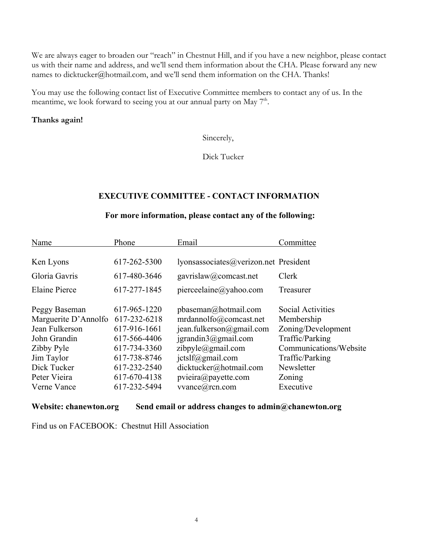We are always eager to broaden our "reach" in Chestnut Hill, and if you have a new neighbor, please contact us with their name and address, and we'll send them information about the CHA. Please forward any new names to dicktucker@hotmail.com, and we'll send them information on the CHA. Thanks!

You may use the following contact list of Executive Committee members to contact any of us. In the meantime, we look forward to seeing you at our annual party on May  $7<sup>th</sup>$ .

#### **Thanks again!**

Sincerely,

Dick Tucker

#### **EXECUTIVE COMMITTEE - CONTACT INFORMATION**

# **For more information, please contact any of the following:**

| Name                 | Phone        | Email                                 | Committee              |
|----------------------|--------------|---------------------------------------|------------------------|
|                      |              |                                       |                        |
| Ken Lyons            | 617-262-5300 | lyonsassociates@verizon.net President |                        |
| Gloria Gavris        | 617-480-3646 | gavrislaw@comcast.net                 | Clerk                  |
| <b>Elaine Pierce</b> | 617-277-1845 | pierceelaine@yahoo.com                | Treasurer              |
| Peggy Baseman        | 617-965-1220 | $p$ baseman@hotmail.com               | Social Activities      |
| Marguerite D'Annolfo | 617-232-6218 | mrdannolfo@comcast.net                | Membership             |
| Jean Fulkerson       | 617-916-1661 | jean.fulkerson@gmail.com              | Zoning/Development     |
| John Grandin         | 617-566-4406 | $j$ grandin $3$ @gmail.com            | Traffic/Parking        |
| Zibby Pyle           | 617-734-3360 | zibpyle@gmail.com                     | Communications/Website |
| Jim Taylor           | 617-738-8746 | ictslf@gmail.com                      | Traffic/Parking        |
| Dick Tucker          | 617-232-2540 | dicktucker@hotmail.com                | Newsletter             |
| Peter Vieira         | 617-670-4138 | pview@payette.com                     | Zoning                 |
| Verne Vance          | 617-232-5494 | vvance@rcn.com                        | Executive              |

**Website: chanewton.org Send email or address changes to admin@chanewton.org**

Find us on FACEBOOK: Chestnut Hill Association